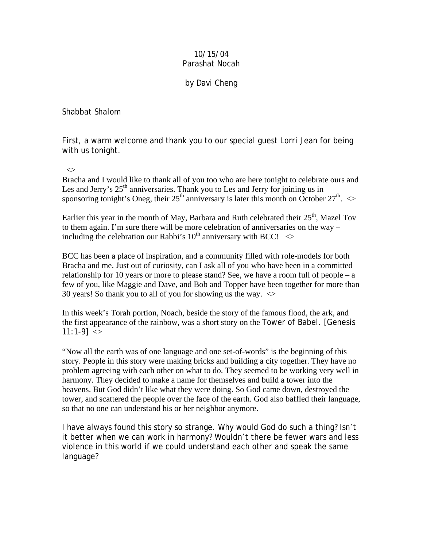## 10/15/04 Parashat Nocah

## by Davi Cheng

Shabbat Shalom

First, a warm welcome and thank you to our special guest Lorri Jean for being with us tonight.

 $\leftrightarrow$ 

Bracha and I would like to thank all of you too who are here tonight to celebrate ours and Les and Jerry's  $25<sup>th</sup>$  anniversaries. Thank you to Les and Jerry for joining us in sponsoring tonight's Oneg, their  $25<sup>th</sup>$  anniversary is later this month on October  $27<sup>th</sup>$ .  $\ll$ 

Earlier this year in the month of May, Barbara and Ruth celebrated their  $25<sup>th</sup>$ , Mazel Tov to them again. I'm sure there will be more celebration of anniversaries on the way – including the celebration our Rabbi's  $10^{th}$  anniversary with BCC!  $\leq$ 

BCC has been a place of inspiration, and a community filled with role-models for both Bracha and me. Just out of curiosity, can I ask all of you who have been in a committed relationship for 10 years or more to please stand? See, we have a room full of people – a few of you, like Maggie and Dave, and Bob and Topper have been together for more than 30 years! So thank you to all of you for showing us the way.  $\leq$ 

In this week's Torah portion, Noach, beside the story of the famous flood, the ark, and the first appearance of the rainbow, was a short story on the Tower of Babel. [Genesis 11:1-9]  $\leq$ 

"Now all the earth was of one language and one set-of-words" is the beginning of this story. People in this story were making bricks and building a city together. They have no problem agreeing with each other on what to do. They seemed to be working very well in harmony. They decided to make a name for themselves and build a tower into the heavens. But God didn't like what they were doing. So God came down, destroyed the tower, and scattered the people over the face of the earth. God also baffled their language, so that no one can understand his or her neighbor anymore.

I have always found this story so strange. Why would God do such a thing? Isn't it better when we can work in harmony? Wouldn't there be fewer wars and less violence in this world if we could understand each other and speak the same language?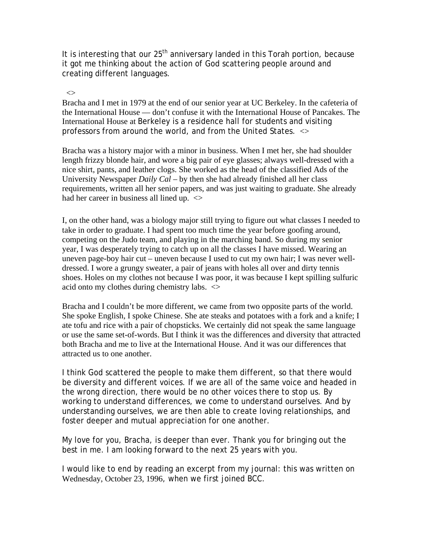It is interesting that our 25<sup>th</sup> anniversary landed in this Torah portion, because it got me thinking about the action of God scattering people around and creating different languages.

 $\leftrightarrow$ 

Bracha and I met in 1979 at the end of our senior year at UC Berkeley. In the cafeteria of the International House — don't confuse it with the International House of Pancakes. The International House at Berkeley is a residence hall for students and visiting professors from around the world, and from the United States. <>

Bracha was a history major with a minor in business. When I met her, she had shoulder length frizzy blonde hair, and wore a big pair of eye glasses; always well-dressed with a nice shirt, pants, and leather clogs. She worked as the head of the classified Ads of the University Newspaper *Daily Cal* – by then she had already finished all her class requirements, written all her senior papers, and was just waiting to graduate. She already had her career in business all lined up.  $\leq$ 

I, on the other hand, was a biology major still trying to figure out what classes I needed to take in order to graduate. I had spent too much time the year before goofing around, competing on the Judo team, and playing in the marching band. So during my senior year, I was desperately trying to catch up on all the classes I have missed. Wearing an uneven page-boy hair cut – uneven because I used to cut my own hair; I was never welldressed. I wore a grungy sweater, a pair of jeans with holes all over and dirty tennis shoes. Holes on my clothes not because I was poor, it was because I kept spilling sulfuric acid onto my clothes during chemistry labs.  $\leq$ 

Bracha and I couldn't be more different, we came from two opposite parts of the world. She spoke English, I spoke Chinese. She ate steaks and potatoes with a fork and a knife; I ate tofu and rice with a pair of chopsticks. We certainly did not speak the same language or use the same set-of-words. But I think it was the differences and diversity that attracted both Bracha and me to live at the International House. And it was our differences that attracted us to one another.

I think God scattered the people to make them different, so that there would be diversity and different voices. If we are all of the same voice and headed in the wrong direction, there would be no other voices there to stop us. By working to understand differences, we come to understand ourselves. And by understanding ourselves, we are then able to create loving relationships, and foster deeper and mutual appreciation for one another.

My love for you, Bracha, is deeper than ever. Thank you for bringing out the best in me. I am looking forward to the next 25 years with you.

I would like to end by reading an excerpt from my journal: this was written on Wednesday, October 23, 1996, when we first joined BCC.